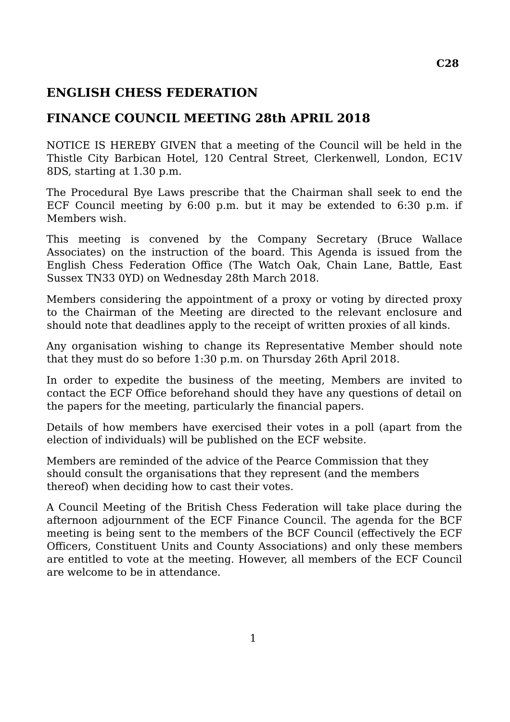## **ENGLISH CHESS FEDERATION**

## **FINANCE COUNCIL MEETING 28th APRIL 2018**

NOTICE IS HEREBY GIVEN that a meeting of the Council will be held in the Thistle City Barbican Hotel, 120 Central Street, Clerkenwell, London, EC1V 8DS, starting at 1.30 p.m.

The Procedural Bye Laws prescribe that the Chairman shall seek to end the ECF Council meeting by 6:00 p.m. but it may be extended to 6:30 p.m. if Members wish.

This meeting is convened by the Company Secretary (Bruce Wallace Associates) on the instruction of the board. This Agenda is issued from the English Chess Federation Office (The Watch Oak, Chain Lane, Battle, East Sussex TN33 0YD) on Wednesday 28th March 2018.

Members considering the appointment of a proxy or voting by directed proxy to the Chairman of the Meeting are directed to the relevant enclosure and should note that deadlines apply to the receipt of written proxies of all kinds.

Any organisation wishing to change its Representative Member should note that they must do so before 1:30 p.m. on Thursday 26th April 2018.

In order to expedite the business of the meeting, Members are invited to contact the ECF Office beforehand should they have any questions of detail on the papers for the meeting, particularly the financial papers.

Details of how members have exercised their votes in a poll (apart from the election of individuals) will be published on the ECF website.

Members are reminded of the advice of the Pearce Commission that they should consult the organisations that they represent (and the members thereof) when deciding how to cast their votes.

A Council Meeting of the British Chess Federation will take place during the afternoon adjournment of the ECF Finance Council. The agenda for the BCF meeting is being sent to the members of the BCF Council (effectively the ECF Officers, Constituent Units and County Associations) and only these members are entitled to vote at the meeting. However, all members of the ECF Council are welcome to be in attendance.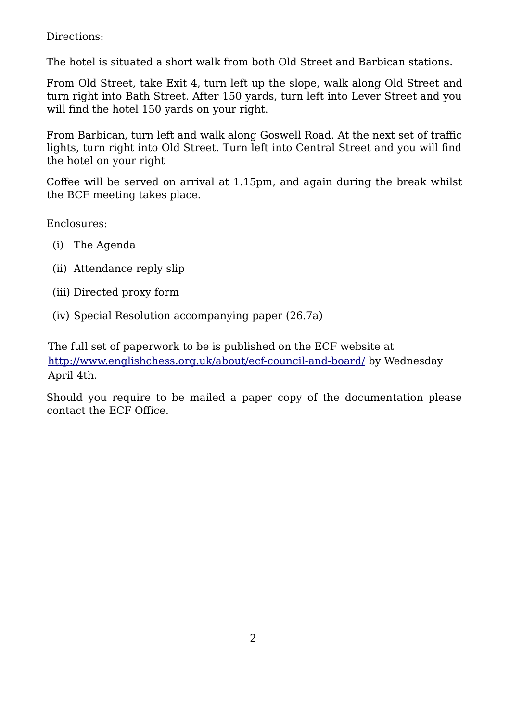Directions:

The hotel is situated a short walk from both Old Street and Barbican stations.

From Old Street, take Exit 4, turn left up the slope, walk along Old Street and turn right into Bath Street. After 150 yards, turn left into Lever Street and you will find the hotel 150 yards on your right.

From Barbican, turn left and walk along Goswell Road. At the next set of traffic lights, turn right into Old Street. Turn left into Central Street and you will find the hotel on your right

Coffee will be served on arrival at 1.15pm, and again during the break whilst the BCF meeting takes place.

Enclosures:

- (i) The Agenda
- (ii) Attendance reply slip
- (iii) Directed proxy form
- (iv) Special Resolution accompanying paper (26.7a)

The full set of paperwork to be is published on the ECF website at <http://www.englishchess.org.uk/about/ecf-council-and-board/>by Wednesday April 4th.

Should you require to be mailed a paper copy of the documentation please contact the ECF Office.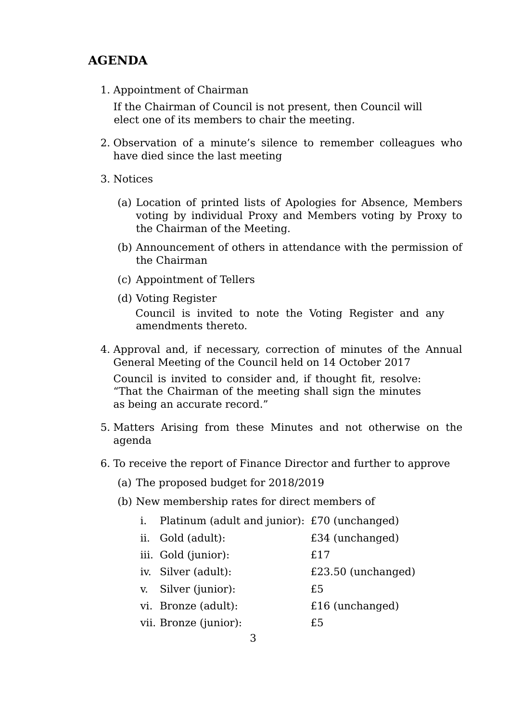## **AGENDA**

1. Appointment of Chairman

If the Chairman of Council is not present, then Council will elect one of its members to chair the meeting.

- 2. Observation of a minute's silence to remember colleagues who have died since the last meeting
- 3. Notices
	- (a) Location of printed lists of Apologies for Absence, Members voting by individual Proxy and Members voting by Proxy to the Chairman of the Meeting.
	- (b) Announcement of others in attendance with the permission of the Chairman
	- (c) Appointment of Tellers
	- (d) Voting Register

Council is invited to note the Voting Register and any amendments thereto.

4. Approval and, if necessary, correction of minutes of the Annual General Meeting of the Council held on 14 October 2017

Council is invited to consider and, if thought fit, resolve: "That the Chairman of the meeting shall sign the minutes as being an accurate record."

- 5. Matters Arising from these Minutes and not otherwise on the agenda
- 6. To receive the report of Finance Director and further to approve
	- (a) The proposed budget for 2018/2019
	- (b) New membership rates for direct members of
		- i. Platinum (adult and junior): £70 (unchanged)
		- ii. Gold (adult): £34 (unchanged)
		- iii. Gold (junior): £17
		- iv. Silver (adult): £23.50 (unchanged)
		- v. Silver (junior): £5
		- vi. Bronze (adult): <br>  $£16$  (unchanged)
		- vii. Bronze (junior):  $£5$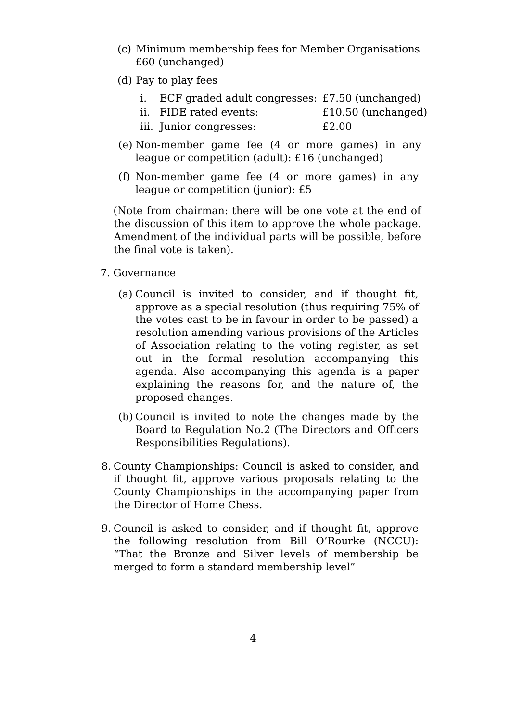- (c) Minimum membership fees for Member Organisations £60 (unchanged)
- (d) Pay to play fees
	- i. ECF graded adult congresses: £7.50 (unchanged)
	- ii. FIDE rated events: £10.50 (unchanged)
	- iii. Junior congresses:  $\qquad \qquad \text{£}2.00$
- (e) Non-member game fee (4 or more games) in any league or competition (adult): £16 (unchanged)
- (f) Non-member game fee (4 or more games) in any league or competition (junior): £5

(Note from chairman: there will be one vote at the end of the discussion of this item to approve the whole package. Amendment of the individual parts will be possible, before the final vote is taken).

- 7. Governance
	- (a) Council is invited to consider, and if thought fit, approve as a special resolution (thus requiring 75% of the votes cast to be in favour in order to be passed) a resolution amending various provisions of the Articles of Association relating to the voting register, as set out in the formal resolution accompanying this agenda. Also accompanying this agenda is a paper explaining the reasons for, and the nature of, the proposed changes.
	- (b) Council is invited to note the changes made by the Board to Regulation No.2 (The Directors and Officers Responsibilities Regulations).
- 8. County Championships: Council is asked to consider, and if thought fit, approve various proposals relating to the County Championships in the accompanying paper from the Director of Home Chess.
- 9. Council is asked to consider, and if thought fit, approve the following resolution from Bill O'Rourke (NCCU): "That the Bronze and Silver levels of membership be merged to form a standard membership level"